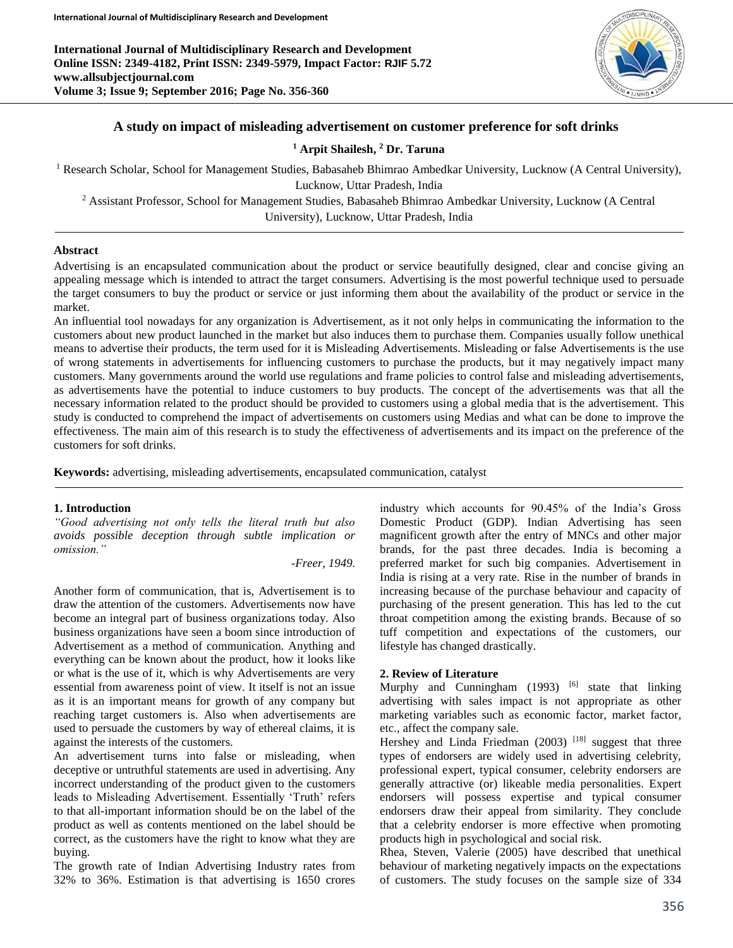**International Journal of Multidisciplinary Research and Development Online ISSN: 2349-4182, Print ISSN: 2349-5979, Impact Factor: RJIF 5.72 www.allsubjectjournal.com Volume 3; Issue 9; September 2016; Page No. 356-360**



## **A study on impact of misleading advertisement on customer preference for soft drinks**

**<sup>1</sup> Arpit Shailesh, <sup>2</sup> Dr. Taruna**

<sup>1</sup> Research Scholar, School for Management Studies, Babasaheb Bhimrao Ambedkar University, Lucknow (A Central University),

Lucknow, Uttar Pradesh, India

<sup>2</sup> Assistant Professor, School for Management Studies, Babasaheb Bhimrao Ambedkar University, Lucknow (A Central University), Lucknow, Uttar Pradesh, India

### **Abstract**

Advertising is an encapsulated communication about the product or service beautifully designed, clear and concise giving an appealing message which is intended to attract the target consumers. Advertising is the most powerful technique used to persuade the target consumers to buy the product or service or just informing them about the availability of the product or service in the market.

An influential tool nowadays for any organization is Advertisement, as it not only helps in communicating the information to the customers about new product launched in the market but also induces them to purchase them. Companies usually follow unethical means to advertise their products, the term used for it is Misleading Advertisements. Misleading or false Advertisements is the use of wrong statements in advertisements for influencing customers to purchase the products, but it may negatively impact many customers. Many governments around the world use regulations and frame policies to control false and misleading advertisements, as advertisements have the potential to induce customers to buy products. The concept of the advertisements was that all the necessary information related to the product should be provided to customers using a global media that is the advertisement. This study is conducted to comprehend the impact of advertisements on customers using Medias and what can be done to improve the effectiveness. The main aim of this research is to study the effectiveness of advertisements and its impact on the preference of the customers for soft drinks.

**Keywords:** advertising, misleading advertisements, encapsulated communication, catalyst

### **1. Introduction**

*"Good advertising not only tells the literal truth but also avoids possible deception through subtle implication or omission."*

*-Freer, 1949.*

Another form of communication, that is, Advertisement is to draw the attention of the customers. Advertisements now have become an integral part of business organizations today. Also business organizations have seen a boom since introduction of Advertisement as a method of communication. Anything and everything can be known about the product, how it looks like or what is the use of it, which is why Advertisements are very essential from awareness point of view. It itself is not an issue as it is an important means for growth of any company but reaching target customers is. Also when advertisements are used to persuade the customers by way of ethereal claims, it is against the interests of the customers.

An advertisement turns into false or misleading, when deceptive or untruthful statements are used in advertising. Any incorrect understanding of the product given to the customers leads to Misleading Advertisement. Essentially 'Truth' refers to that all-important information should be on the label of the product as well as contents mentioned on the label should be correct, as the customers have the right to know what they are buying.

The growth rate of Indian Advertising Industry rates from 32% to 36%. Estimation is that advertising is 1650 crores

industry which accounts for 90.45% of the India's Gross Domestic Product (GDP). Indian Advertising has seen magnificent growth after the entry of MNCs and other major brands, for the past three decades. India is becoming a preferred market for such big companies. Advertisement in India is rising at a very rate. Rise in the number of brands in increasing because of the purchase behaviour and capacity of purchasing of the present generation. This has led to the cut throat competition among the existing brands. Because of so tuff competition and expectations of the customers, our lifestyle has changed drastically.

### **2. Review of Literature**

Murphy and Cunningham (1993)  $[6]$  state that linking advertising with sales impact is not appropriate as other marketing variables such as economic factor, market factor, etc., affect the company sale.

Hershey and Linda Friedman  $(2003)$ <sup>[18]</sup> suggest that three types of endorsers are widely used in advertising celebrity, professional expert, typical consumer, celebrity endorsers are generally attractive (or) likeable media personalities. Expert endorsers will possess expertise and typical consumer endorsers draw their appeal from similarity. They conclude that a celebrity endorser is more effective when promoting products high in psychological and social risk.

Rhea, Steven, Valerie (2005) have described that unethical behaviour of marketing negatively impacts on the expectations of customers. The study focuses on the sample size of 334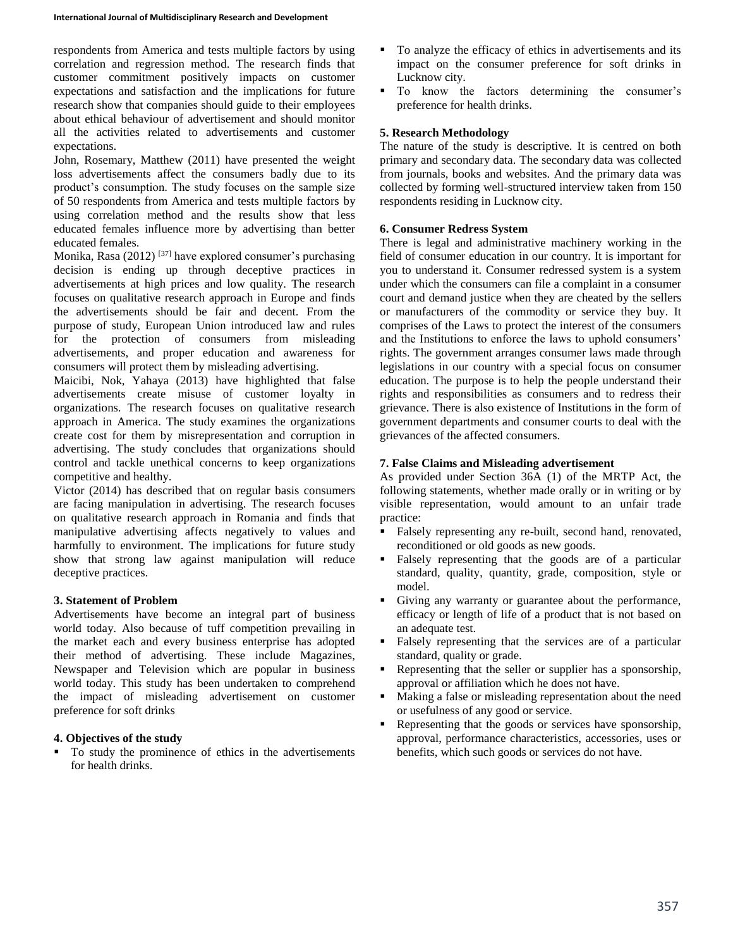respondents from America and tests multiple factors by using correlation and regression method. The research finds that customer commitment positively impacts on customer expectations and satisfaction and the implications for future research show that companies should guide to their employees about ethical behaviour of advertisement and should monitor all the activities related to advertisements and customer expectations.

John, Rosemary, Matthew (2011) have presented the weight loss advertisements affect the consumers badly due to its product's consumption. The study focuses on the sample size of 50 respondents from America and tests multiple factors by using correlation method and the results show that less educated females influence more by advertising than better educated females.

Monika, Rasa (2012)  $[37]$  have explored consumer's purchasing decision is ending up through deceptive practices in advertisements at high prices and low quality. The research focuses on qualitative research approach in Europe and finds the advertisements should be fair and decent. From the purpose of study, European Union introduced law and rules for the protection of consumers from misleading advertisements, and proper education and awareness for consumers will protect them by misleading advertising.

Maicibi, Nok, Yahaya (2013) have highlighted that false advertisements create misuse of customer loyalty in organizations. The research focuses on qualitative research approach in America. The study examines the organizations create cost for them by misrepresentation and corruption in advertising. The study concludes that organizations should control and tackle unethical concerns to keep organizations competitive and healthy.

Victor (2014) has described that on regular basis consumers are facing manipulation in advertising. The research focuses on qualitative research approach in Romania and finds that manipulative advertising affects negatively to values and harmfully to environment. The implications for future study show that strong law against manipulation will reduce deceptive practices.

# **3. Statement of Problem**

Advertisements have become an integral part of business world today. Also because of tuff competition prevailing in the market each and every business enterprise has adopted their method of advertising. These include Magazines, Newspaper and Television which are popular in business world today. This study has been undertaken to comprehend the impact of misleading advertisement on customer preference for soft drinks

# **4. Objectives of the study**

To study the prominence of ethics in the advertisements for health drinks.

- To analyze the efficacy of ethics in advertisements and its impact on the consumer preference for soft drinks in Lucknow city.
- $\blacksquare$  To know the factors determining the consumer's preference for health drinks.

## **5. Research Methodology**

The nature of the study is descriptive. It is centred on both primary and secondary data. The secondary data was collected from journals, books and websites. And the primary data was collected by forming well-structured interview taken from 150 respondents residing in Lucknow city.

## **6. Consumer Redress System**

There is legal and administrative machinery working in the field of consumer education in our country. It is important for you to understand it. Consumer redressed system is a system under which the consumers can file a complaint in a consumer court and demand justice when they are cheated by the sellers or manufacturers of the commodity or service they buy. It comprises of the Laws to protect the interest of the consumers and the Institutions to enforce the laws to uphold consumers' rights. The government arranges consumer laws made through legislations in our country with a special focus on consumer education. The purpose is to help the people understand their rights and responsibilities as consumers and to redress their grievance. There is also existence of Institutions in the form of government departments and consumer courts to deal with the grievances of the affected consumers.

## **7. False Claims and Misleading advertisement**

As provided under Section 36A (1) of the MRTP Act, the following statements, whether made orally or in writing or by visible representation, would amount to an unfair trade practice:

- Falsely representing any re-built, second hand, renovated, reconditioned or old goods as new goods.
- Falsely representing that the goods are of a particular standard, quality, quantity, grade, composition, style or model.
- Giving any warranty or guarantee about the performance, efficacy or length of life of a product that is not based on an adequate test.
- Falsely representing that the services are of a particular standard, quality or grade.
- Representing that the seller or supplier has a sponsorship, approval or affiliation which he does not have.
- Making a false or misleading representation about the need or usefulness of any good or service.
- Representing that the goods or services have sponsorship, approval, performance characteristics, accessories, uses or benefits, which such goods or services do not have.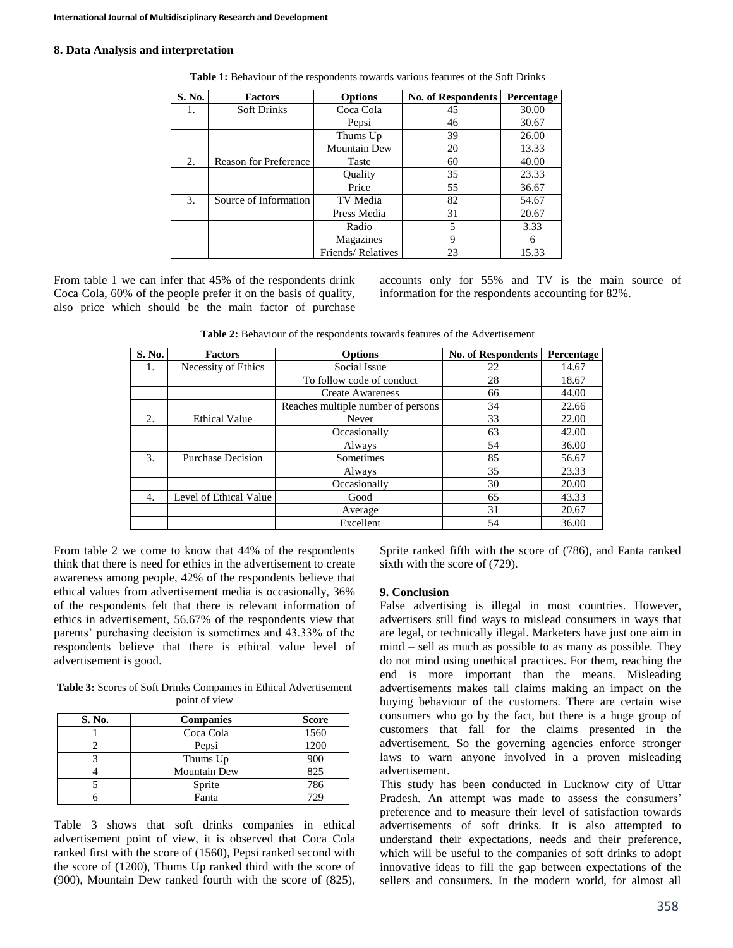#### **8. Data Analysis and interpretation**

| S. No. | <b>Factors</b>               | <b>Options</b>      | <b>No. of Respondents</b> | Percentage |
|--------|------------------------------|---------------------|---------------------------|------------|
| 1.     | Soft Drinks                  | Coca Cola           | 45                        | 30.00      |
|        |                              | Pepsi               | 46                        | 30.67      |
|        |                              | Thums Up            | 39                        | 26.00      |
|        |                              | <b>Mountain Dew</b> | 20                        | 13.33      |
| 2.     | <b>Reason for Preference</b> | Taste               | 60                        | 40.00      |
|        |                              | Ouality             | 35                        | 23.33      |
|        |                              | Price               | 55                        | 36.67      |
| 3.     | Source of Information        | TV Media            | 82                        | 54.67      |
|        |                              | Press Media         | 31                        | 20.67      |
|        |                              | Radio               | 5                         | 3.33       |
|        |                              | Magazines           | 9                         | 6          |
|        |                              | Friends/Relatives   | 23                        | 15.33      |

**Table 1:** Behaviour of the respondents towards various features of the Soft Drinks

From table 1 we can infer that 45% of the respondents drink Coca Cola, 60% of the people prefer it on the basis of quality, also price which should be the main factor of purchase accounts only for 55% and TV is the main source of information for the respondents accounting for 82%.

**Table 2:** Behaviour of the respondents towards features of the Advertisement

| S. No. | <b>Factors</b>           | <b>Options</b>                     | <b>No. of Respondents</b> | Percentage |
|--------|--------------------------|------------------------------------|---------------------------|------------|
| Ι.     | Necessity of Ethics      | Social Issue                       | 22                        | 14.67      |
|        |                          | To follow code of conduct          | 28                        | 18.67      |
|        |                          | <b>Create Awareness</b>            | 66                        | 44.00      |
|        |                          | Reaches multiple number of persons | 34                        | 22.66      |
| 2.     | <b>Ethical Value</b>     | Never                              | 33                        | 22.00      |
|        |                          | Occasionally                       | 63                        | 42.00      |
|        |                          | Always                             | 54                        | 36.00      |
| 3.     | <b>Purchase Decision</b> | Sometimes                          | 85                        | 56.67      |
|        |                          | Always                             | 35                        | 23.33      |
|        |                          | Occasionally                       | 30                        | 20.00      |
| 4.     | Level of Ethical Value   | Good                               | 65                        | 43.33      |
|        |                          | Average                            | 31                        | 20.67      |
|        |                          | Excellent                          | 54                        | 36.00      |

From table 2 we come to know that 44% of the respondents think that there is need for ethics in the advertisement to create awareness among people, 42% of the respondents believe that ethical values from advertisement media is occasionally, 36% of the respondents felt that there is relevant information of ethics in advertisement, 56.67% of the respondents view that parents' purchasing decision is sometimes and 43.33% of the respondents believe that there is ethical value level of advertisement is good.

**Table 3:** Scores of Soft Drinks Companies in Ethical Advertisement point of view

| S. No. | <b>Companies</b>    |      |
|--------|---------------------|------|
|        | Coca Cola           |      |
|        | Pepsi               | 1200 |
|        | Thums Up            | 900  |
|        | <b>Mountain Dew</b> | 825  |
|        | Sprite              | 786  |
|        | Fanta               | 729  |

Table 3 shows that soft drinks companies in ethical advertisement point of view, it is observed that Coca Cola ranked first with the score of (1560), Pepsi ranked second with the score of (1200), Thums Up ranked third with the score of (900), Mountain Dew ranked fourth with the score of (825),

Sprite ranked fifth with the score of (786), and Fanta ranked sixth with the score of (729).

## **9. Conclusion**

False advertising is illegal in most countries. However, advertisers still find ways to mislead consumers in ways that are legal, or technically illegal. Marketers have just one aim in mind – sell as much as possible to as many as possible. They do not mind using unethical practices. For them, reaching the end is more important than the means. Misleading advertisements makes tall claims making an impact on the buying behaviour of the customers. There are certain wise consumers who go by the fact, but there is a huge group of customers that fall for the claims presented in the advertisement. So the governing agencies enforce stronger laws to warn anyone involved in a proven misleading advertisement.

This study has been conducted in Lucknow city of Uttar Pradesh. An attempt was made to assess the consumers' preference and to measure their level of satisfaction towards advertisements of soft drinks. It is also attempted to understand their expectations, needs and their preference, which will be useful to the companies of soft drinks to adopt innovative ideas to fill the gap between expectations of the sellers and consumers. In the modern world, for almost all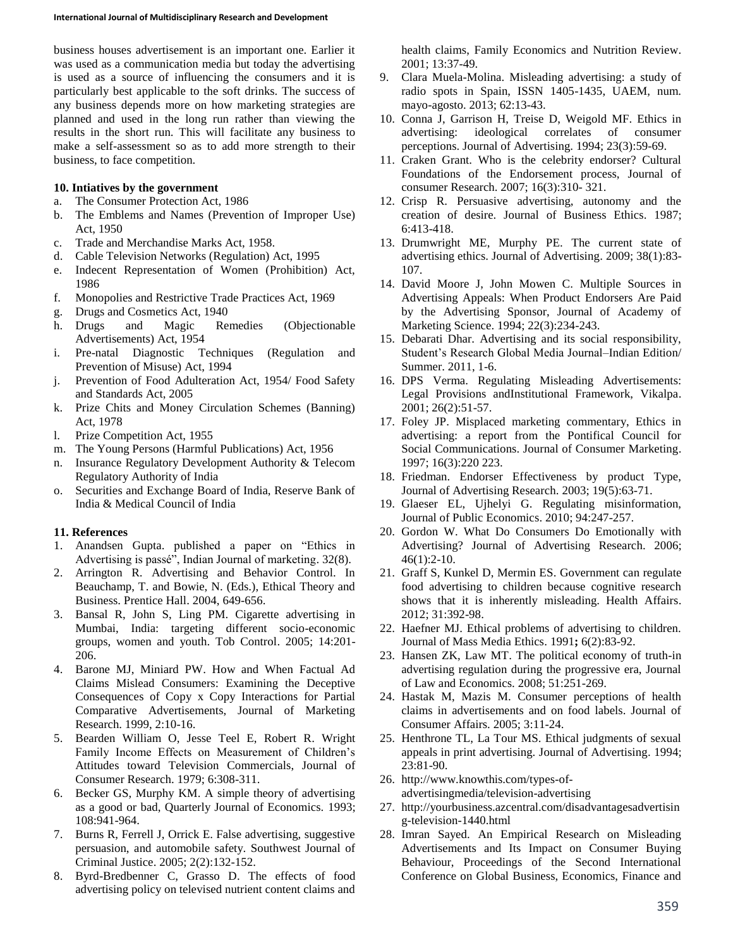business houses advertisement is an important one. Earlier it was used as a communication media but today the advertising is used as a source of influencing the consumers and it is particularly best applicable to the soft drinks. The success of any business depends more on how marketing strategies are planned and used in the long run rather than viewing the results in the short run. This will facilitate any business to make a self-assessment so as to add more strength to their business, to face competition.

### **10. Intiatives by the government**

- a. The Consumer Protection Act, 1986
- b. The Emblems and Names (Prevention of Improper Use) Act, 1950
- c. Trade and Merchandise Marks Act, 1958.
- d. Cable Television Networks (Regulation) Act, 1995
- e. Indecent Representation of Women (Prohibition) Act, 1986
- f. Monopolies and Restrictive Trade Practices Act, 1969
- g. Drugs and Cosmetics Act, 1940
- h. Drugs and Magic Remedies (Objectionable Advertisements) Act, 1954
- i. Pre-natal Diagnostic Techniques (Regulation and Prevention of Misuse) Act, 1994
- j. Prevention of Food Adulteration Act, 1954/ Food Safety and Standards Act, 2005
- k. Prize Chits and Money Circulation Schemes (Banning) Act, 1978
- l. Prize Competition Act, 1955
- m. The Young Persons (Harmful Publications) Act, 1956
- n. Insurance Regulatory Development Authority & Telecom Regulatory Authority of India
- o. Securities and Exchange Board of India, Reserve Bank of India & Medical Council of India

## **11. References**

- 1. Anandsen Gupta. published a paper on "Ethics in Advertising is passé", Indian Journal of marketing. 32(8).
- 2. Arrington R. Advertising and Behavior Control. In Beauchamp, T. and Bowie, N. (Eds.), Ethical Theory and Business. Prentice Hall. 2004, 649-656.
- 3. Bansal R, John S, Ling PM. Cigarette advertising in Mumbai, India: targeting different socio-economic groups, women and youth. Tob Control. 2005; 14:201- 206.
- 4. Barone MJ, Miniard PW. How and When Factual Ad Claims Mislead Consumers: Examining the Deceptive Consequences of Copy x Copy Interactions for Partial Comparative Advertisements, Journal of Marketing Research. 1999, 2:10-16.
- 5. Bearden William O, Jesse Teel E, Robert R. Wright Family Income Effects on Measurement of Children's Attitudes toward Television Commercials, Journal of Consumer Research. 1979; 6:308-311.
- 6. Becker GS, Murphy KM. A simple theory of advertising as a good or bad, Quarterly Journal of Economics. 1993; 108:941-964.
- 7. Burns R, Ferrell J, Orrick E. False advertising, suggestive persuasion, and automobile safety. Southwest Journal of Criminal Justice. 2005; 2(2):132-152.
- 8. Byrd-Bredbenner C, Grasso D. The effects of food advertising policy on televised nutrient content claims and

health claims, Family Economics and Nutrition Review. 2001; 13:37-49.

- 9. Clara Muela-Molina. Misleading advertising: a study of radio spots in Spain, ISSN 1405-1435, UAEM, num. mayo-agosto. 2013; 62:13-43.
- 10. Conna J, Garrison H, Treise D, Weigold MF. Ethics in advertising: ideological correlates of consumer perceptions. Journal of Advertising. 1994; 23(3):59-69.
- 11. Craken Grant. Who is the celebrity endorser? Cultural Foundations of the Endorsement process, Journal of consumer Research. 2007; 16(3):310- 321.
- 12. Crisp R. Persuasive advertising, autonomy and the creation of desire. Journal of Business Ethics. 1987; 6:413-418.
- 13. Drumwright ME, Murphy PE. The current state of advertising ethics. Journal of Advertising. 2009; 38(1):83- 107.
- 14. David Moore J, John Mowen C. Multiple Sources in Advertising Appeals: When Product Endorsers Are Paid by the Advertising Sponsor, Journal of Academy of Marketing Science. 1994; 22(3):234-243.
- 15. Debarati Dhar. Advertising and its social responsibility, Student's Research Global Media Journal–Indian Edition/ Summer. 2011, 1-6.
- 16. DPS Verma. Regulating Misleading Advertisements: Legal Provisions andInstitutional Framework, Vikalpa. 2001; 26(2):51-57.
- 17. Foley JP. Misplaced marketing commentary, Ethics in advertising: a report from the Pontifical Council for Social Communications. Journal of Consumer Marketing. 1997; 16(3):220 223.
- 18. Friedman. Endorser Effectiveness by product Type, Journal of Advertising Research. 2003; 19(5):63-71.
- 19. Glaeser EL, Ujhelyi G. Regulating misinformation, Journal of Public Economics. 2010; 94:247-257.
- 20. Gordon W. What Do Consumers Do Emotionally with Advertising? Journal of Advertising Research. 2006;  $46(1):2-10.$
- 21. Graff S, Kunkel D, Mermin ES. Government can regulate food advertising to children because cognitive research shows that it is inherently misleading. Health Affairs. 2012; 31:392-98.
- 22. Haefner MJ. Ethical problems of advertising to children. Journal of Mass Media Ethics. 1991**;** 6(2):83-92.
- 23. Hansen ZK, Law MT. The political economy of truth-in advertising regulation during the progressive era, Journal of Law and Economics. 2008; 51:251-269.
- 24. Hastak M, Mazis M. Consumer perceptions of health claims in advertisements and on food labels. Journal of Consumer Affairs. 2005; 3:11-24.
- 25. Henthrone TL, La Tour MS. Ethical judgments of sexual appeals in print advertising. Journal of Advertising. 1994; 23:81-90.
- 26. http://www.knowthis.com/types-ofadvertisingmedia/television-advertising
- 27. http://yourbusiness.azcentral.com/disadvantagesadvertisin g-television-1440.html
- 28. Imran Sayed. An Empirical Research on Misleading Advertisements and Its Impact on Consumer Buying Behaviour, Proceedings of the Second International Conference on Global Business, Economics, Finance and